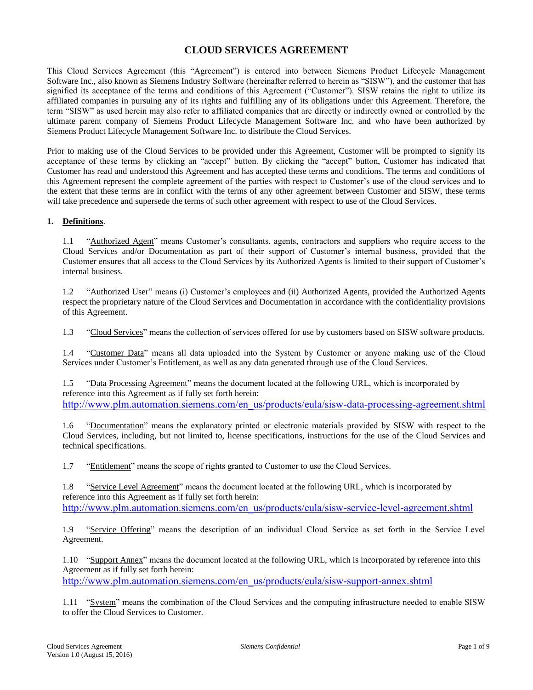# **CLOUD SERVICES AGREEMENT**

This Cloud Services Agreement (this "Agreement") is entered into between Siemens Product Lifecycle Management Software Inc., also known as Siemens Industry Software (hereinafter referred to herein as "SISW"), and the customer that has signified its acceptance of the terms and conditions of this Agreement ("Customer"). SISW retains the right to utilize its affiliated companies in pursuing any of its rights and fulfilling any of its obligations under this Agreement. Therefore, the term "SISW" as used herein may also refer to affiliated companies that are directly or indirectly owned or controlled by the ultimate parent company of Siemens Product Lifecycle Management Software Inc. and who have been authorized by Siemens Product Lifecycle Management Software Inc. to distribute the Cloud Services.

Prior to making use of the Cloud Services to be provided under this Agreement, Customer will be prompted to signify its acceptance of these terms by clicking an "accept" button. By clicking the "accept" button, Customer has indicated that Customer has read and understood this Agreement and has accepted these terms and conditions. The terms and conditions of this Agreement represent the complete agreement of the parties with respect to Customer's use of the cloud services and to the extent that these terms are in conflict with the terms of any other agreement between Customer and SISW, these terms will take precedence and supersede the terms of such other agreement with respect to use of the Cloud Services.

#### **1. Definitions**.

1.1 "Authorized Agent" means Customer's consultants, agents, contractors and suppliers who require access to the Cloud Services and/or Documentation as part of their support of Customer's internal business, provided that the Customer ensures that all access to the Cloud Services by its Authorized Agents is limited to their support of Customer's internal business.

1.2 "Authorized User" means (i) Customer's employees and (ii) Authorized Agents, provided the Authorized Agents respect the proprietary nature of the Cloud Services and Documentation in accordance with the confidentiality provisions of this Agreement.

1.3 "Cloud Services" means the collection of services offered for use by customers based on SISW software products.

1.4 "Customer Data" means all data uploaded into the System by Customer or anyone making use of the Cloud Services under Customer's Entitlement, as well as any data generated through use of the Cloud Services.

1.5 "Data Processing Agreement" means the document located at the following URL, which is incorporated by reference into this Agreement as if fully set forth herein: [http://www.plm.automation.siemens.com/en\\_us/products/eula/sisw-data-processing-agreement.shtml](http://www.plm.automation.siemens.com/en_us/products/eula/sisw-data-processing-agreement.shtml)

1.6 "Documentation" means the explanatory printed or electronic materials provided by SISW with respect to the Cloud Services, including, but not limited to, license specifications, instructions for the use of the Cloud Services and technical specifications.

1.7 "Entitlement" means the scope of rights granted to Customer to use the Cloud Services.

1.8 "Service Level Agreement" means the document located at the following URL, which is incorporated by reference into this Agreement as if fully set forth herein: [http://www.plm.automation.siemens.com/en\\_us/products/eula/sisw-service-level-agreement.shtml](http://www.plm.automation.siemens.com/en_us/products/eula/sisw-service-level-agreement.shtml)

1.9 "Service Offering" means the description of an individual Cloud Service as set forth in the Service Level Agreement.

1.10 "Support Annex" means the document located at the following URL, which is incorporated by reference into this Agreement as if fully set forth herein:

[http://www.plm.automation.siemens.com/en\\_us/products/eula/sisw-support-annex.shtml](http://www.plm.automation.siemens.com/en_us/products/eula/sisw-support-annex.shtml)

1.11 "System" means the combination of the Cloud Services and the computing infrastructure needed to enable SISW to offer the Cloud Services to Customer.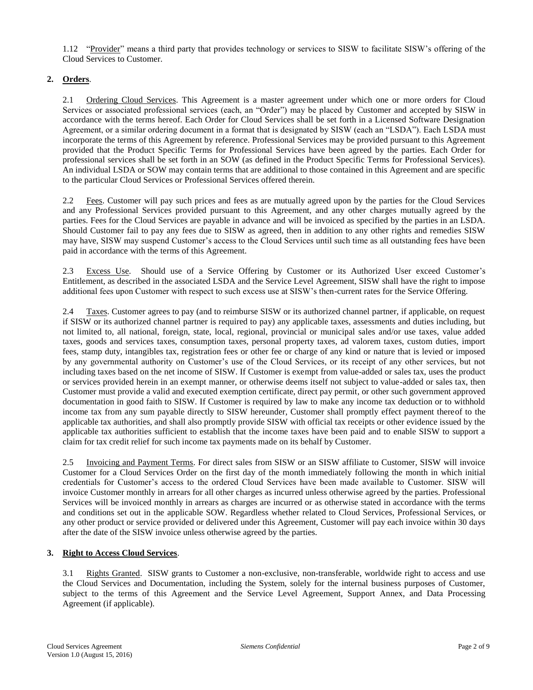1.12 "Provider" means a third party that provides technology or services to SISW to facilitate SISW's offering of the Cloud Services to Customer.

## **2. Orders**.

2.1 Ordering Cloud Services. This Agreement is a master agreement under which one or more orders for Cloud Services or associated professional services (each, an "Order") may be placed by Customer and accepted by SISW in accordance with the terms hereof. Each Order for Cloud Services shall be set forth in a Licensed Software Designation Agreement, or a similar ordering document in a format that is designated by SISW (each an "LSDA"). Each LSDA must incorporate the terms of this Agreement by reference. Professional Services may be provided pursuant to this Agreement provided that the Product Specific Terms for Professional Services have been agreed by the parties. Each Order for professional services shall be set forth in an SOW (as defined in the Product Specific Terms for Professional Services). An individual LSDA or SOW may contain terms that are additional to those contained in this Agreement and are specific to the particular Cloud Services or Professional Services offered therein.

2.2 Fees. Customer will pay such prices and fees as are mutually agreed upon by the parties for the Cloud Services and any Professional Services provided pursuant to this Agreement, and any other charges mutually agreed by the parties. Fees for the Cloud Services are payable in advance and will be invoiced as specified by the parties in an LSDA. Should Customer fail to pay any fees due to SISW as agreed, then in addition to any other rights and remedies SISW may have, SISW may suspend Customer's access to the Cloud Services until such time as all outstanding fees have been paid in accordance with the terms of this Agreement.

2.3 Excess Use. Should use of a Service Offering by Customer or its Authorized User exceed Customer's Entitlement, as described in the associated LSDA and the Service Level Agreement, SISW shall have the right to impose additional fees upon Customer with respect to such excess use at SISW's then-current rates for the Service Offering.

2.4 Taxes. Customer agrees to pay (and to reimburse SISW or its authorized channel partner, if applicable, on request if SISW or its authorized channel partner is required to pay) any applicable taxes, assessments and duties including, but not limited to, all national, foreign, state, local, regional, provincial or municipal sales and/or use taxes, value added taxes, goods and services taxes, consumption taxes, personal property taxes, ad valorem taxes, custom duties, import fees, stamp duty, intangibles tax, registration fees or other fee or charge of any kind or nature that is levied or imposed by any governmental authority on Customer's use of the Cloud Services, or its receipt of any other services, but not including taxes based on the net income of SISW. If Customer is exempt from value-added or sales tax, uses the product or services provided herein in an exempt manner, or otherwise deems itself not subject to value-added or sales tax, then Customer must provide a valid and executed exemption certificate, direct pay permit, or other such government approved documentation in good faith to SISW. If Customer is required by law to make any income tax deduction or to withhold income tax from any sum payable directly to SISW hereunder, Customer shall promptly effect payment thereof to the applicable tax authorities, and shall also promptly provide SISW with official tax receipts or other evidence issued by the applicable tax authorities sufficient to establish that the income taxes have been paid and to enable SISW to support a claim for tax credit relief for such income tax payments made on its behalf by Customer.

2.5 Invoicing and Payment Terms. For direct sales from SISW or an SISW affiliate to Customer, SISW will invoice Customer for a Cloud Services Order on the first day of the month immediately following the month in which initial credentials for Customer's access to the ordered Cloud Services have been made available to Customer. SISW will invoice Customer monthly in arrears for all other charges as incurred unless otherwise agreed by the parties. Professional Services will be invoiced monthly in arrears as charges are incurred or as otherwise stated in accordance with the terms and conditions set out in the applicable SOW. Regardless whether related to Cloud Services, Professional Services, or any other product or service provided or delivered under this Agreement, Customer will pay each invoice within 30 days after the date of the SISW invoice unless otherwise agreed by the parties.

#### **3. Right to Access Cloud Services**.

3.1 Rights Granted. SISW grants to Customer a non-exclusive, non-transferable, worldwide right to access and use the Cloud Services and Documentation, including the System, solely for the internal business purposes of Customer, subject to the terms of this Agreement and the Service Level Agreement, Support Annex, and Data Processing Agreement (if applicable).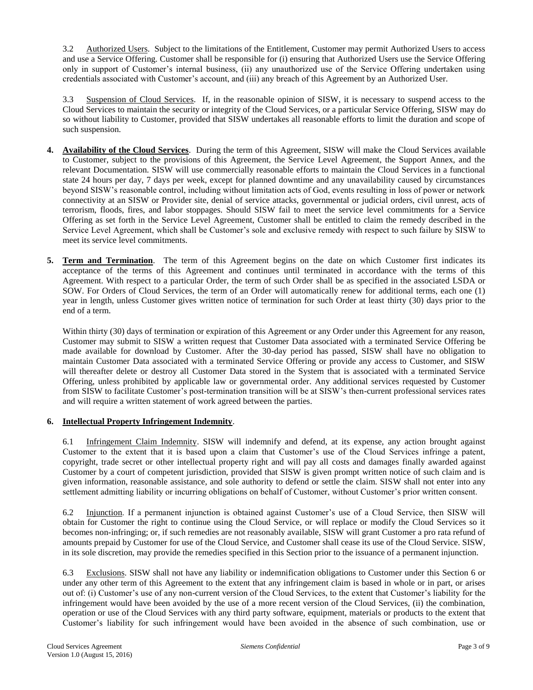3.2 Authorized Users. Subject to the limitations of the Entitlement, Customer may permit Authorized Users to access and use a Service Offering. Customer shall be responsible for (i) ensuring that Authorized Users use the Service Offering only in support of Customer's internal business, (ii) any unauthorized use of the Service Offering undertaken using credentials associated with Customer's account, and (iii) any breach of this Agreement by an Authorized User.

3.3 Suspension of Cloud Services. If, in the reasonable opinion of SISW, it is necessary to suspend access to the Cloud Services to maintain the security or integrity of the Cloud Services, or a particular Service Offering, SISW may do so without liability to Customer, provided that SISW undertakes all reasonable efforts to limit the duration and scope of such suspension.

- **4. Availability of the Cloud Services**. During the term of this Agreement, SISW will make the Cloud Services available to Customer, subject to the provisions of this Agreement, the Service Level Agreement, the Support Annex, and the relevant Documentation. SISW will use commercially reasonable efforts to maintain the Cloud Services in a functional state 24 hours per day, 7 days per week, except for planned downtime and any unavailability caused by circumstances beyond SISW's reasonable control, including without limitation acts of God, events resulting in loss of power or network connectivity at an SISW or Provider site, denial of service attacks, governmental or judicial orders, civil unrest, acts of terrorism, floods, fires, and labor stoppages. Should SISW fail to meet the service level commitments for a Service Offering as set forth in the Service Level Agreement, Customer shall be entitled to claim the remedy described in the Service Level Agreement, which shall be Customer's sole and exclusive remedy with respect to such failure by SISW to meet its service level commitments.
- **5. Term and Termination**. The term of this Agreement begins on the date on which Customer first indicates its acceptance of the terms of this Agreement and continues until terminated in accordance with the terms of this Agreement. With respect to a particular Order, the term of such Order shall be as specified in the associated LSDA or SOW. For Orders of Cloud Services, the term of an Order will automatically renew for additional terms, each one (1) year in length, unless Customer gives written notice of termination for such Order at least thirty (30) days prior to the end of a term.

Within thirty (30) days of termination or expiration of this Agreement or any Order under this Agreement for any reason, Customer may submit to SISW a written request that Customer Data associated with a terminated Service Offering be made available for download by Customer. After the 30-day period has passed, SISW shall have no obligation to maintain Customer Data associated with a terminated Service Offering or provide any access to Customer, and SISW will thereafter delete or destroy all Customer Data stored in the System that is associated with a terminated Service Offering, unless prohibited by applicable law or governmental order. Any additional services requested by Customer from SISW to facilitate Customer's post-termination transition will be at SISW's then-current professional services rates and will require a written statement of work agreed between the parties.

## **6. Intellectual Property Infringement Indemnity**.

6.1 Infringement Claim Indemnity. SISW will indemnify and defend, at its expense, any action brought against Customer to the extent that it is based upon a claim that Customer's use of the Cloud Services infringe a patent, copyright, trade secret or other intellectual property right and will pay all costs and damages finally awarded against Customer by a court of competent jurisdiction, provided that SISW is given prompt written notice of such claim and is given information, reasonable assistance, and sole authority to defend or settle the claim. SISW shall not enter into any settlement admitting liability or incurring obligations on behalf of Customer, without Customer's prior written consent.

6.2 Injunction. If a permanent injunction is obtained against Customer's use of a Cloud Service, then SISW will obtain for Customer the right to continue using the Cloud Service, or will replace or modify the Cloud Services so it becomes non-infringing; or, if such remedies are not reasonably available, SISW will grant Customer a pro rata refund of amounts prepaid by Customer for use of the Cloud Service, and Customer shall cease its use of the Cloud Service. SISW, in its sole discretion, may provide the remedies specified in this Section prior to the issuance of a permanent injunction.

6.3 Exclusions. SISW shall not have any liability or indemnification obligations to Customer under this Section 6 or under any other term of this Agreement to the extent that any infringement claim is based in whole or in part, or arises out of: (i) Customer's use of any non-current version of the Cloud Services, to the extent that Customer's liability for the infringement would have been avoided by the use of a more recent version of the Cloud Services, (ii) the combination, operation or use of the Cloud Services with any third party software, equipment, materials or products to the extent that Customer's liability for such infringement would have been avoided in the absence of such combination, use or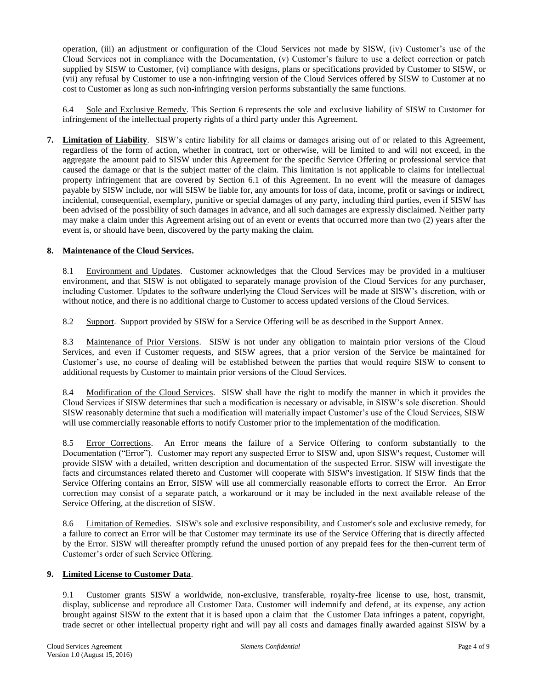operation, (iii) an adjustment or configuration of the Cloud Services not made by SISW, (iv) Customer's use of the Cloud Services not in compliance with the Documentation, (v) Customer's failure to use a defect correction or patch supplied by SISW to Customer, (vi) compliance with designs, plans or specifications provided by Customer to SISW, or (vii) any refusal by Customer to use a non-infringing version of the Cloud Services offered by SISW to Customer at no cost to Customer as long as such non-infringing version performs substantially the same functions.

6.4 Sole and Exclusive Remedy. This Section 6 represents the sole and exclusive liability of SISW to Customer for infringement of the intellectual property rights of a third party under this Agreement.

**7. Limitation of Liability**. SISW's entire liability for all claims or damages arising out of or related to this Agreement, regardless of the form of action, whether in contract, tort or otherwise, will be limited to and will not exceed, in the aggregate the amount paid to SISW under this Agreement for the specific Service Offering or professional service that caused the damage or that is the subject matter of the claim. This limitation is not applicable to claims for intellectual property infringement that are covered by Section 6.1 of this Agreement. In no event will the measure of damages payable by SISW include, nor will SISW be liable for, any amounts for loss of data, income, profit or savings or indirect, incidental, consequential, exemplary, punitive or special damages of any party, including third parties, even if SISW has been advised of the possibility of such damages in advance, and all such damages are expressly disclaimed. Neither party may make a claim under this Agreement arising out of an event or events that occurred more than two (2) years after the event is, or should have been, discovered by the party making the claim.

#### **8. Maintenance of the Cloud Services.**

8.1 Environment and Updates. Customer acknowledges that the Cloud Services may be provided in a multiuser environment, and that SISW is not obligated to separately manage provision of the Cloud Services for any purchaser, including Customer. Updates to the software underlying the Cloud Services will be made at SISW's discretion, with or without notice, and there is no additional charge to Customer to access updated versions of the Cloud Services.

8.2 Support. Support provided by SISW for a Service Offering will be as described in the Support Annex.

8.3 Maintenance of Prior Versions. SISW is not under any obligation to maintain prior versions of the Cloud Services, and even if Customer requests, and SISW agrees, that a prior version of the Service be maintained for Customer's use, no course of dealing will be established between the parties that would require SISW to consent to additional requests by Customer to maintain prior versions of the Cloud Services.

8.4 Modification of the Cloud Services. SISW shall have the right to modify the manner in which it provides the Cloud Services if SISW determines that such a modification is necessary or advisable, in SISW's sole discretion. Should SISW reasonably determine that such a modification will materially impact Customer's use of the Cloud Services, SISW will use commercially reasonable efforts to notify Customer prior to the implementation of the modification.

8.5 Error Corrections. An Error means the failure of a Service Offering to conform substantially to the Documentation ("Error"). Customer may report any suspected Error to SISW and, upon SISW's request, Customer will provide SISW with a detailed, written description and documentation of the suspected Error. SISW will investigate the facts and circumstances related thereto and Customer will cooperate with SISW's investigation. If SISW finds that the Service Offering contains an Error, SISW will use all commercially reasonable efforts to correct the Error. An Error correction may consist of a separate patch, a workaround or it may be included in the next available release of the Service Offering, at the discretion of SISW.

8.6 Limitation of Remedies. SISW's sole and exclusive responsibility, and Customer's sole and exclusive remedy, for a failure to correct an Error will be that Customer may terminate its use of the Service Offering that is directly affected by the Error. SISW will thereafter promptly refund the unused portion of any prepaid fees for the then-current term of Customer's order of such Service Offering.

## **9. Limited License to Customer Data**.

9.1 Customer grants SISW a worldwide, non-exclusive, transferable, royalty-free license to use, host, transmit, display, sublicense and reproduce all Customer Data. Customer will indemnify and defend, at its expense, any action brought against SISW to the extent that it is based upon a claim that the Customer Data infringes a patent, copyright, trade secret or other intellectual property right and will pay all costs and damages finally awarded against SISW by a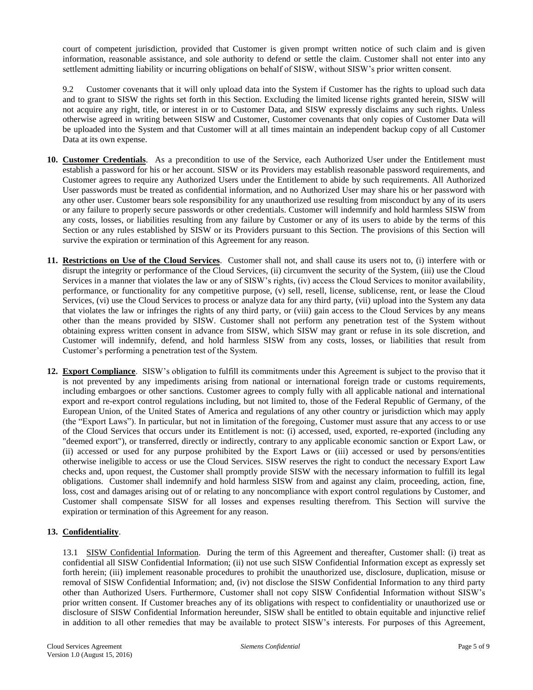court of competent jurisdiction, provided that Customer is given prompt written notice of such claim and is given information, reasonable assistance, and sole authority to defend or settle the claim. Customer shall not enter into any settlement admitting liability or incurring obligations on behalf of SISW, without SISW's prior written consent.

9.2 Customer covenants that it will only upload data into the System if Customer has the rights to upload such data and to grant to SISW the rights set forth in this Section. Excluding the limited license rights granted herein, SISW will not acquire any right, title, or interest in or to Customer Data, and SISW expressly disclaims any such rights. Unless otherwise agreed in writing between SISW and Customer, Customer covenants that only copies of Customer Data will be uploaded into the System and that Customer will at all times maintain an independent backup copy of all Customer Data at its own expense.

- **10. Customer Credentials**. As a precondition to use of the Service, each Authorized User under the Entitlement must establish a password for his or her account. SISW or its Providers may establish reasonable password requirements, and Customer agrees to require any Authorized Users under the Entitlement to abide by such requirements. All Authorized User passwords must be treated as confidential information, and no Authorized User may share his or her password with any other user. Customer bears sole responsibility for any unauthorized use resulting from misconduct by any of its users or any failure to properly secure passwords or other credentials. Customer will indemnify and hold harmless SISW from any costs, losses, or liabilities resulting from any failure by Customer or any of its users to abide by the terms of this Section or any rules established by SISW or its Providers pursuant to this Section. The provisions of this Section will survive the expiration or termination of this Agreement for any reason.
- **11. Restrictions on Use of the Cloud Services**. Customer shall not, and shall cause its users not to, (i) interfere with or disrupt the integrity or performance of the Cloud Services, (ii) circumvent the security of the System, (iii) use the Cloud Services in a manner that violates the law or any of SISW's rights, (iv) access the Cloud Services to monitor availability, performance, or functionality for any competitive purpose, (v) sell, resell, license, sublicense, rent, or lease the Cloud Services, (vi) use the Cloud Services to process or analyze data for any third party, (vii) upload into the System any data that violates the law or infringes the rights of any third party, or (viii) gain access to the Cloud Services by any means other than the means provided by SISW. Customer shall not perform any penetration test of the System without obtaining express written consent in advance from SISW, which SISW may grant or refuse in its sole discretion, and Customer will indemnify, defend, and hold harmless SISW from any costs, losses, or liabilities that result from Customer's performing a penetration test of the System.
- **12. Export Compliance**. SISW's obligation to fulfill its commitments under this Agreement is subject to the proviso that it is not prevented by any impediments arising from national or international foreign trade or customs requirements, including embargoes or other sanctions. Customer agrees to comply fully with all applicable national and international export and re-export control regulations including, but not limited to, those of the Federal Republic of Germany, of the European Union, of the United States of America and regulations of any other country or jurisdiction which may apply (the "Export Laws"). In particular, but not in limitation of the foregoing, Customer must assure that any access to or use of the Cloud Services that occurs under its Entitlement is not: (i) accessed, used, exported, re-exported (including any "deemed export"), or transferred, directly or indirectly, contrary to any applicable economic sanction or Export Law, or (ii) accessed or used for any purpose prohibited by the Export Laws or (iii) accessed or used by persons/entities otherwise ineligible to access or use the Cloud Services. SISW reserves the right to conduct the necessary Export Law checks and, upon request, the Customer shall promptly provide SISW with the necessary information to fulfill its legal obligations. Customer shall indemnify and hold harmless SISW from and against any claim, proceeding, action, fine, loss, cost and damages arising out of or relating to any noncompliance with export control regulations by Customer, and Customer shall compensate SISW for all losses and expenses resulting therefrom. This Section will survive the expiration or termination of this Agreement for any reason.

## **13. Confidentiality**.

13.1 SISW Confidential Information. During the term of this Agreement and thereafter, Customer shall: (i) treat as confidential all SISW Confidential Information; (ii) not use such SISW Confidential Information except as expressly set forth herein; (iii) implement reasonable procedures to prohibit the unauthorized use, disclosure, duplication, misuse or removal of SISW Confidential Information; and, (iv) not disclose the SISW Confidential Information to any third party other than Authorized Users. Furthermore, Customer shall not copy SISW Confidential Information without SISW's prior written consent. If Customer breaches any of its obligations with respect to confidentiality or unauthorized use or disclosure of SISW Confidential Information hereunder, SISW shall be entitled to obtain equitable and injunctive relief in addition to all other remedies that may be available to protect SISW's interests. For purposes of this Agreement,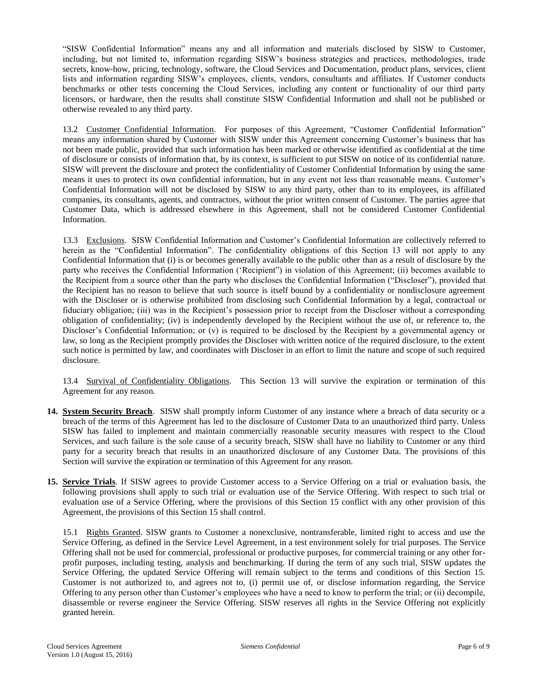"SISW Confidential Information" means any and all information and materials disclosed by SISW to Customer, including, but not limited to, information regarding SISW's business strategies and practices, methodologies, trade secrets, know-how, pricing, technology, software, the Cloud Services and Documentation, product plans, services, client lists and information regarding SISW's employees, clients, vendors, consultants and affiliates. If Customer conducts benchmarks or other tests concerning the Cloud Services, including any content or functionality of our third party licensors, or hardware, then the results shall constitute SISW Confidential Information and shall not be published or otherwise revealed to any third party.

13.2 Customer Confidential Information. For purposes of this Agreement, "Customer Confidential Information" means any information shared by Customer with SISW under this Agreement concerning Customer's business that has not been made public, provided that such information has been marked or otherwise identified as confidential at the time of disclosure or consists of information that, by its context, is sufficient to put SISW on notice of its confidential nature. SISW will prevent the disclosure and protect the confidentiality of Customer Confidential Information by using the same means it uses to protect its own confidential information, but in any event not less than reasonable means. Customer's Confidential Information will not be disclosed by SISW to any third party, other than to its employees, its affiliated companies, its consultants, agents, and contractors, without the prior written consent of Customer. The parties agree that Customer Data, which is addressed elsewhere in this Agreement, shall not be considered Customer Confidential Information.

13.3 Exclusions. SISW Confidential Information and Customer's Confidential Information are collectively referred to herein as the "Confidential Information". The confidentiality obligations of this Section 13 will not apply to any Confidential Information that (i) is or becomes generally available to the public other than as a result of disclosure by the party who receives the Confidential Information ('Recipient") in violation of this Agreement; (ii) becomes available to the Recipient from a source other than the party who discloses the Confidential Information ("Discloser"), provided that the Recipient has no reason to believe that such source is itself bound by a confidentiality or nondisclosure agreement with the Discloser or is otherwise prohibited from disclosing such Confidential Information by a legal, contractual or fiduciary obligation; (iii) was in the Recipient's possession prior to receipt from the Discloser without a corresponding obligation of confidentiality; (iv) is independently developed by the Recipient without the use of, or reference to, the Discloser's Confidential Information; or (v) is required to be disclosed by the Recipient by a governmental agency or law, so long as the Recipient promptly provides the Discloser with written notice of the required disclosure, to the extent such notice is permitted by law, and coordinates with Discloser in an effort to limit the nature and scope of such required disclosure.

13.4 Survival of Confidentiality Obligations. This Section 13 will survive the expiration or termination of this Agreement for any reason.

- **14. System Security Breach**. SISW shall promptly inform Customer of any instance where a breach of data security or a breach of the terms of this Agreement has led to the disclosure of Customer Data to an unauthorized third party. Unless SISW has failed to implement and maintain commercially reasonable security measures with respect to the Cloud Services, and such failure is the sole cause of a security breach, SISW shall have no liability to Customer or any third party for a security breach that results in an unauthorized disclosure of any Customer Data. The provisions of this Section will survive the expiration or termination of this Agreement for any reason.
- **15. Service Trials**. If SISW agrees to provide Customer access to a Service Offering on a trial or evaluation basis, the following provisions shall apply to such trial or evaluation use of the Service Offering. With respect to such trial or evaluation use of a Service Offering, where the provisions of this Section 15 conflict with any other provision of this Agreement, the provisions of this Section 15 shall control.

15.1 Rights Granted. SISW grants to Customer a nonexclusive, nontransferable, limited right to access and use the Service Offering, as defined in the Service Level Agreement, in a test environment solely for trial purposes. The Service Offering shall not be used for commercial, professional or productive purposes, for commercial training or any other forprofit purposes, including testing, analysis and benchmarking. If during the term of any such trial, SISW updates the Service Offering, the updated Service Offering will remain subject to the terms and conditions of this Section 15. Customer is not authorized to, and agrees not to, (i) permit use of, or disclose information regarding, the Service Offering to any person other than Customer's employees who have a need to know to perform the trial; or (ii) decompile, disassemble or reverse engineer the Service Offering. SISW reserves all rights in the Service Offering not explicitly granted herein.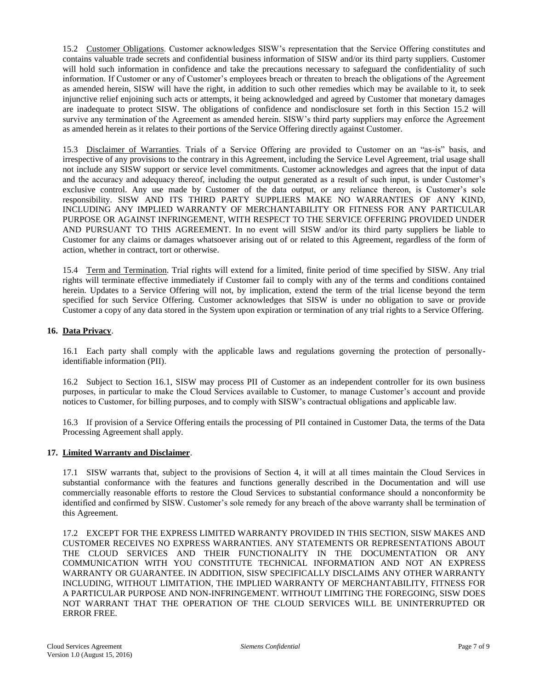15.2 Customer Obligations. Customer acknowledges SISW's representation that the Service Offering constitutes and contains valuable trade secrets and confidential business information of SISW and/or its third party suppliers. Customer will hold such information in confidence and take the precautions necessary to safeguard the confidentiality of such information. If Customer or any of Customer's employees breach or threaten to breach the obligations of the Agreement as amended herein, SISW will have the right, in addition to such other remedies which may be available to it, to seek injunctive relief enjoining such acts or attempts, it being acknowledged and agreed by Customer that monetary damages are inadequate to protect SISW. The obligations of confidence and nondisclosure set forth in this Section 15.2 will survive any termination of the Agreement as amended herein. SISW's third party suppliers may enforce the Agreement as amended herein as it relates to their portions of the Service Offering directly against Customer.

15.3 Disclaimer of Warranties. Trials of a Service Offering are provided to Customer on an "as-is" basis, and irrespective of any provisions to the contrary in this Agreement, including the Service Level Agreement, trial usage shall not include any SISW support or service level commitments. Customer acknowledges and agrees that the input of data and the accuracy and adequacy thereof, including the output generated as a result of such input, is under Customer's exclusive control. Any use made by Customer of the data output, or any reliance thereon, is Customer's sole responsibility. SISW AND ITS THIRD PARTY SUPPLIERS MAKE NO WARRANTIES OF ANY KIND, INCLUDING ANY IMPLIED WARRANTY OF MERCHANTABILITY OR FITNESS FOR ANY PARTICULAR PURPOSE OR AGAINST INFRINGEMENT, WITH RESPECT TO THE SERVICE OFFERING PROVIDED UNDER AND PURSUANT TO THIS AGREEMENT. In no event will SISW and/or its third party suppliers be liable to Customer for any claims or damages whatsoever arising out of or related to this Agreement, regardless of the form of action, whether in contract, tort or otherwise.

15.4 Term and Termination. Trial rights will extend for a limited, finite period of time specified by SISW. Any trial rights will terminate effective immediately if Customer fail to comply with any of the terms and conditions contained herein. Updates to a Service Offering will not, by implication, extend the term of the trial license beyond the term specified for such Service Offering. Customer acknowledges that SISW is under no obligation to save or provide Customer a copy of any data stored in the System upon expiration or termination of any trial rights to a Service Offering.

#### **16. Data Privacy**.

16.1 Each party shall comply with the applicable laws and regulations governing the protection of personallyidentifiable information (PII).

16.2 Subject to Section 16.1, SISW may process PII of Customer as an independent controller for its own business purposes, in particular to make the Cloud Services available to Customer, to manage Customer's account and provide notices to Customer, for billing purposes, and to comply with SISW's contractual obligations and applicable law.

16.3 If provision of a Service Offering entails the processing of PII contained in Customer Data, the terms of the Data Processing Agreement shall apply.

#### **17. Limited Warranty and Disclaimer**.

17.1 SISW warrants that, subject to the provisions of Section 4, it will at all times maintain the Cloud Services in substantial conformance with the features and functions generally described in the Documentation and will use commercially reasonable efforts to restore the Cloud Services to substantial conformance should a nonconformity be identified and confirmed by SISW. Customer's sole remedy for any breach of the above warranty shall be termination of this Agreement.

17.2 EXCEPT FOR THE EXPRESS LIMITED WARRANTY PROVIDED IN THIS SECTION, SISW MAKES AND CUSTOMER RECEIVES NO EXPRESS WARRANTIES. ANY STATEMENTS OR REPRESENTATIONS ABOUT THE CLOUD SERVICES AND THEIR FUNCTIONALITY IN THE DOCUMENTATION OR ANY COMMUNICATION WITH YOU CONSTITUTE TECHNICAL INFORMATION AND NOT AN EXPRESS WARRANTY OR GUARANTEE. IN ADDITION, SISW SPECIFICALLY DISCLAIMS ANY OTHER WARRANTY INCLUDING, WITHOUT LIMITATION, THE IMPLIED WARRANTY OF MERCHANTABILITY, FITNESS FOR A PARTICULAR PURPOSE AND NON-INFRINGEMENT. WITHOUT LIMITING THE FOREGOING, SISW DOES NOT WARRANT THAT THE OPERATION OF THE CLOUD SERVICES WILL BE UNINTERRUPTED OR ERROR FREE.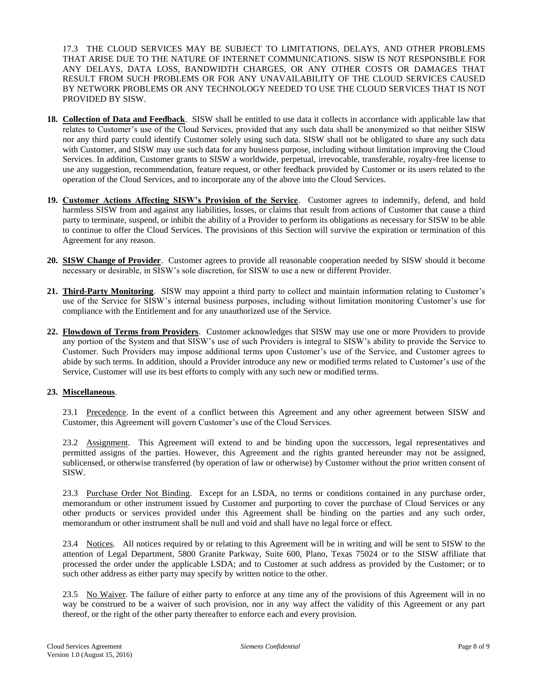17.3 THE CLOUD SERVICES MAY BE SUBJECT TO LIMITATIONS, DELAYS, AND OTHER PROBLEMS THAT ARISE DUE TO THE NATURE OF INTERNET COMMUNICATIONS. SISW IS NOT RESPONSIBLE FOR ANY DELAYS, DATA LOSS, BANDWIDTH CHARGES, OR ANY OTHER COSTS OR DAMAGES THAT RESULT FROM SUCH PROBLEMS OR FOR ANY UNAVAILABILITY OF THE CLOUD SERVICES CAUSED BY NETWORK PROBLEMS OR ANY TECHNOLOGY NEEDED TO USE THE CLOUD SERVICES THAT IS NOT PROVIDED BY SISW.

- **18. Collection of Data and Feedback**. SISW shall be entitled to use data it collects in accordance with applicable law that relates to Customer's use of the Cloud Services, provided that any such data shall be anonymized so that neither SISW nor any third party could identify Customer solely using such data. SISW shall not be obligated to share any such data with Customer, and SISW may use such data for any business purpose, including without limitation improving the Cloud Services. In addition, Customer grants to SISW a worldwide, perpetual, irrevocable, transferable, royalty-free license to use any suggestion, recommendation, feature request, or other feedback provided by Customer or its users related to the operation of the Cloud Services, and to incorporate any of the above into the Cloud Services.
- **19. Customer Actions Affecting SISW's Provision of the Service**. Customer agrees to indemnify, defend, and hold harmless SISW from and against any liabilities, losses, or claims that result from actions of Customer that cause a third party to terminate, suspend, or inhibit the ability of a Provider to perform its obligations as necessary for SISW to be able to continue to offer the Cloud Services. The provisions of this Section will survive the expiration or termination of this Agreement for any reason.
- **20. SISW Change of Provider**. Customer agrees to provide all reasonable cooperation needed by SISW should it become necessary or desirable, in SISW's sole discretion, for SISW to use a new or different Provider.
- **21. Third-Party Monitoring**. SISW may appoint a third party to collect and maintain information relating to Customer's use of the Service for SISW's internal business purposes, including without limitation monitoring Customer's use for compliance with the Entitlement and for any unauthorized use of the Service.
- **22. Flowdown of Terms from Providers**. Customer acknowledges that SISW may use one or more Providers to provide any portion of the System and that SISW's use of such Providers is integral to SISW's ability to provide the Service to Customer. Such Providers may impose additional terms upon Customer's use of the Service, and Customer agrees to abide by such terms. In addition, should a Provider introduce any new or modified terms related to Customer's use of the Service, Customer will use its best efforts to comply with any such new or modified terms.

## **23. Miscellaneous**.

23.1 Precedence. In the event of a conflict between this Agreement and any other agreement between SISW and Customer, this Agreement will govern Customer's use of the Cloud Services.

23.2 Assignment. This Agreement will extend to and be binding upon the successors, legal representatives and permitted assigns of the parties. However, this Agreement and the rights granted hereunder may not be assigned, sublicensed, or otherwise transferred (by operation of law or otherwise) by Customer without the prior written consent of SISW.

23.3 Purchase Order Not Binding. Except for an LSDA, no terms or conditions contained in any purchase order, memorandum or other instrument issued by Customer and purporting to cover the purchase of Cloud Services or any other products or services provided under this Agreement shall be binding on the parties and any such order, memorandum or other instrument shall be null and void and shall have no legal force or effect.

23.4 Notices. All notices required by or relating to this Agreement will be in writing and will be sent to SISW to the attention of Legal Department, 5800 Granite Parkway, Suite 600, Plano, Texas 75024 or to the SISW affiliate that processed the order under the applicable LSDA; and to Customer at such address as provided by the Customer; or to such other address as either party may specify by written notice to the other.

23.5 No Waiver. The failure of either party to enforce at any time any of the provisions of this Agreement will in no way be construed to be a waiver of such provision, nor in any way affect the validity of this Agreement or any part thereof, or the right of the other party thereafter to enforce each and every provision.